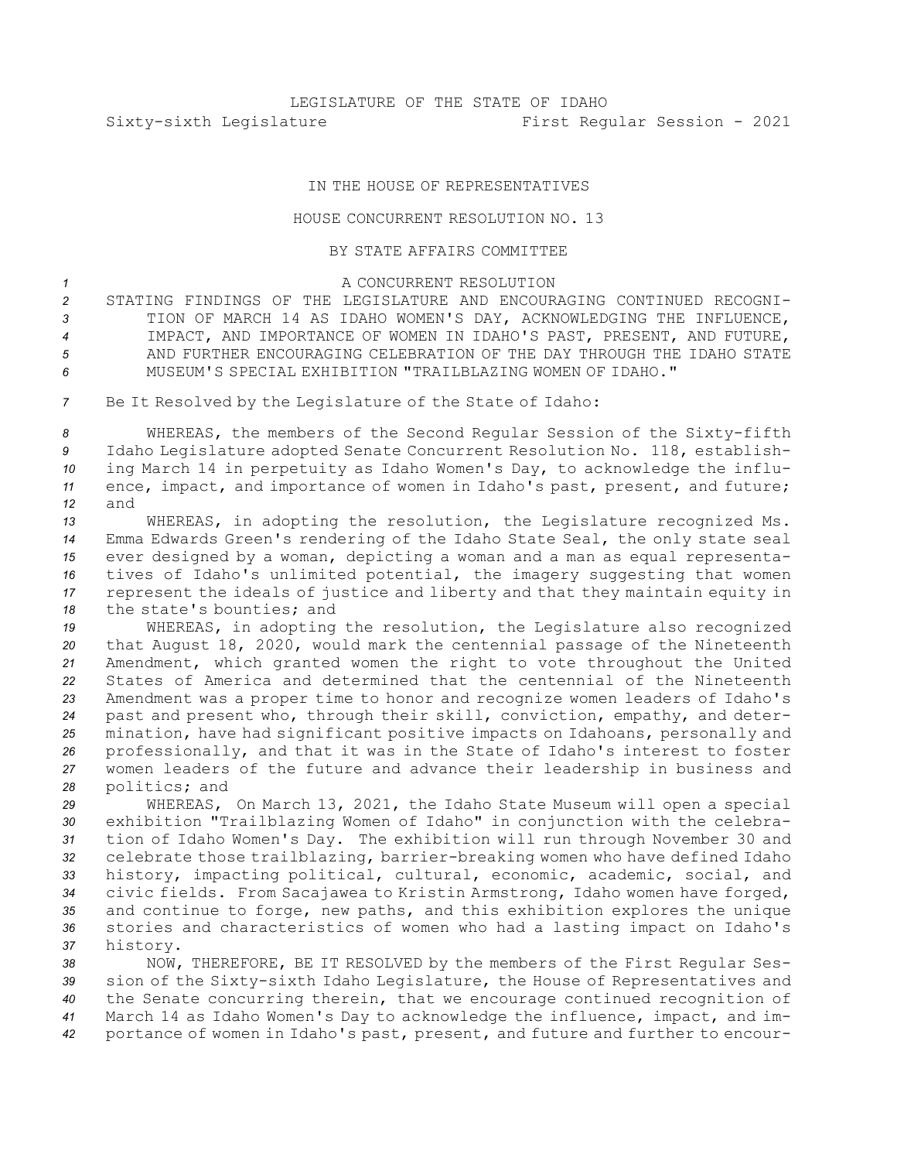## IN THE HOUSE OF REPRESENTATIVES

## HOUSE CONCURRENT RESOLUTION NO. 13

## BY STATE AFFAIRS COMMITTEE

## <sup>1</sup> A CONCURRENT RESOLUTION

 STATING FINDINGS OF THE LEGISLATURE AND ENCOURAGING CONTINUED RECOGNI- TION OF MARCH 14 AS IDAHO WOMEN'S DAY, ACKNOWLEDGING THE INFLUENCE, IMPACT, AND IMPORTANCE OF WOMEN IN IDAHO'S PAST, PRESENT, AND FUTURE, AND FURTHER ENCOURAGING CELEBRATION OF THE DAY THROUGH THE IDAHO STATE MUSEUM'S SPECIAL EXHIBITION "TRAILBLAZING WOMEN OF IDAHO."

*<sup>7</sup>* Be It Resolved by the Legislature of the State of Idaho:

 WHEREAS, the members of the Second Regular Session of the Sixty-fifth Idaho Legislature adopted Senate Concurrent Resolution No. 118, establish- ing March 14 in perpetuity as Idaho Women's Day, to acknowledge the influ- ence, impact, and importance of women in Idaho's past, present, and future; *12* and

 WHEREAS, in adopting the resolution, the Legislature recognized Ms. Emma Edwards Green's rendering of the Idaho State Seal, the only state seal ever designed by <sup>a</sup> woman, depicting <sup>a</sup> woman and <sup>a</sup> man as equal representa- tives of Idaho's unlimited potential, the imagery suggesting that women represent the ideals of justice and liberty and that they maintain equity in 18 the state's bounties; and

 WHEREAS, in adopting the resolution, the Legislature also recognized that August 18, 2020, would mark the centennial passage of the Nineteenth Amendment, which granted women the right to vote throughout the United States of America and determined that the centennial of the Nineteenth Amendment was <sup>a</sup> proper time to honor and recognize women leaders of Idaho's past and present who, through their skill, conviction, empathy, and deter- mination, have had significant positive impacts on Idahoans, personally and professionally, and that it was in the State of Idaho's interest to foster women leaders of the future and advance their leadership in business and politics; and

 WHEREAS, On March 13, 2021, the Idaho State Museum will open <sup>a</sup> special exhibition "Trailblazing Women of Idaho" in conjunction with the celebra- tion of Idaho Women's Day. The exhibition will run through November 30 and celebrate those trailblazing, barrier-breaking women who have defined Idaho history, impacting political, cultural, economic, academic, social, and civic fields. From Sacajawea to Kristin Armstrong, Idaho women have forged, and continue to forge, new paths, and this exhibition explores the unique stories and characteristics of women who had <sup>a</sup> lasting impact on Idaho's *<sup>37</sup>* history.

 NOW, THEREFORE, BE IT RESOLVED by the members of the First Regular Ses- sion of the Sixty-sixth Idaho Legislature, the House of Representatives and the Senate concurring therein, that we encourage continued recognition of March 14 as Idaho Women's Day to acknowledge the influence, impact, and im-portance of women in Idaho's past, present, and future and further to encour